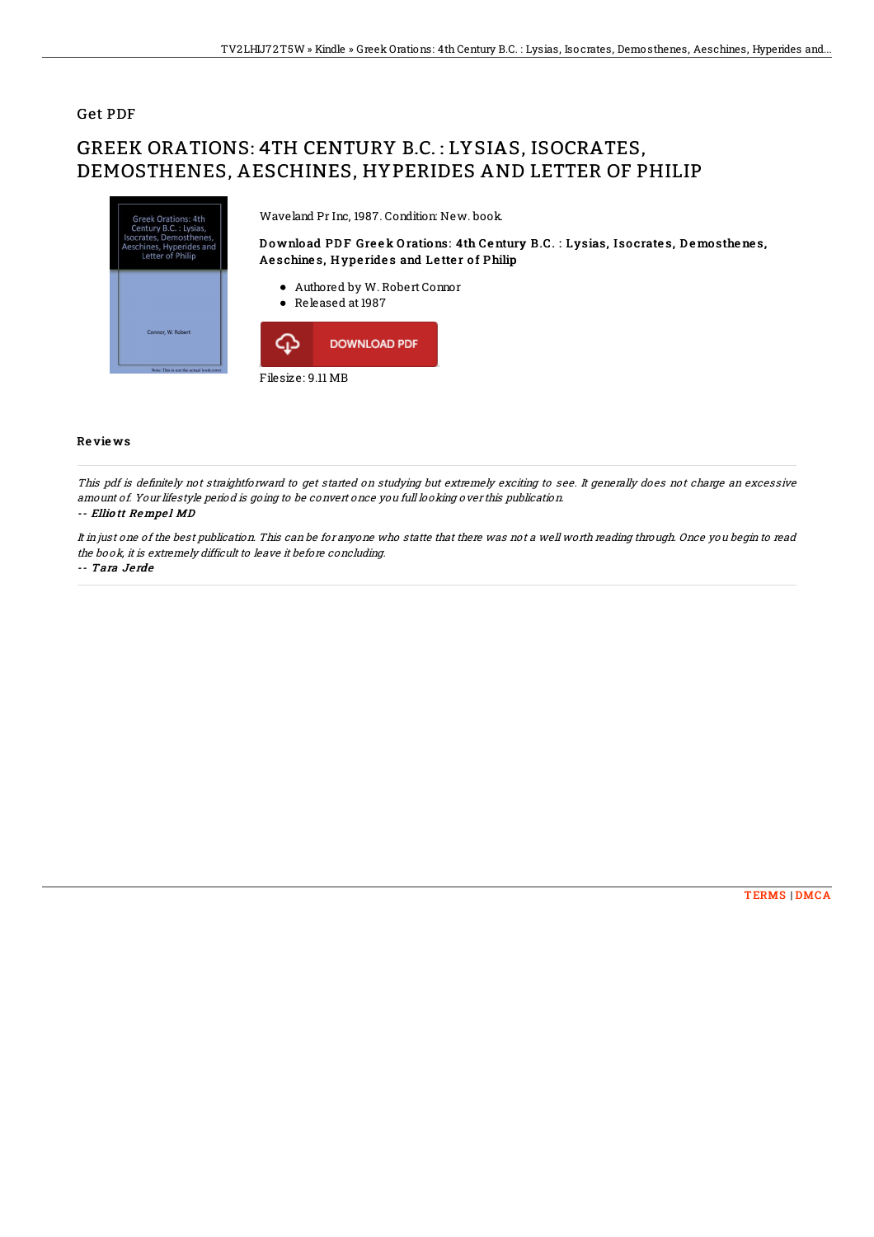## Get PDF

# GREEK ORATIONS: 4TH CENTURY B.C. : LYSIAS, ISOCRATES, DEMOSTHENES, AESCHINES, HYPERIDES AND LETTER OF PHILIP



### Re vie ws

This pdf is definitely not straightforward to get started on studying but extremely exciting to see. It generally does not charge an excessive amount of. Your lifestyle period is going to be convert once you full looking over this publication.

### -- Elliott Rempel MD

It in just one of the best publication. This can be for anyone who statte that there was not <sup>a</sup> well worth reading through. Once you begin to read the book, it is extremely difficult to leave it before concluding.

#### -- Tara Je rde